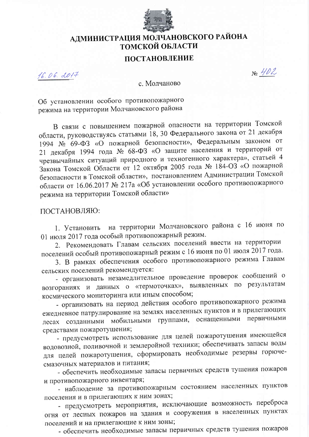

## АДМИНИСТРАЦИЯ МОЛЧАНОВСКОГО РАЙОНА ТОМСКОЙ ОБЛАСТИ

## ПОСТАНОВЛЕНИЕ

 $16.06.0017$ 

No 402

с. Молчаново

Об установлении особого противопожарного режима на территории Молчановского района

В связи с повышением пожарной опасности на территории Томской области, руководствуясь статьями 18, 30 Федерального закона от 21 декабря 1994 № 69-ФЗ «О пожарной безопасности», Федеральным законом от 21 декабря 1994 года № 68-ФЗ «О защите населения и территорий от чрезвычайных ситуаций природного и техногенного характера», статьей 4 Закона Томской Области от 12 октября 2005 года № 184-ОЗ «О пожарной безопасности в Томской области», постановлением Администрации Томской области от 16.06.2017 № 217а «Об установлении особого противопожарного режима на территории Томской области»

ПОСТАНОВЛЯЮ:

на территории Молчановского района с 16 июня по 1. Установить 01 июля 2017 года особый противопожарный режим.

2. Рекомендовать Главам сельских поселений ввести на территории поселений особый противопожарный режим с 16 июня по 01 июля 2017 года.

3. В рамках обеспечения особого противопожарного режима Главам сельских поселений рекомендуется:

- организовать незамедлительное проведение проверок сообщений о возгораниях и данных о «термоточках», выявленных по результатам космического мониторинга или иным способом;

- организовать на период действия особого противопожарного режима ежедневное патрулирование на землях населенных пунктов и в прилегающих лесах созданными мобильными группами, оснащенными первичными средствами пожаротушения;

- предусмотреть использование для целей пожаротушения имеющейся водовозной, поливочной и землеройной техники; обеспечивать запасы воды для целей пожаротушения, сформировать необходимые резервы горючесмазочных материалов и питания;

- обеспечить необходимые запасы первичных средств тушения пожаров и противопожарного инвентаря;

- наблюдение за противопожарным состоянием населенных пунктов поселения и в прилегающих к ним зонах;

- предусмотреть мероприятия, исключающие возможность переброса огня от лесных пожаров на здания и сооружения в населенных пунктах поселений и на прилегающие к ним зоны;

- обеспечить необходимые запасы первичных средств тушения пожаров